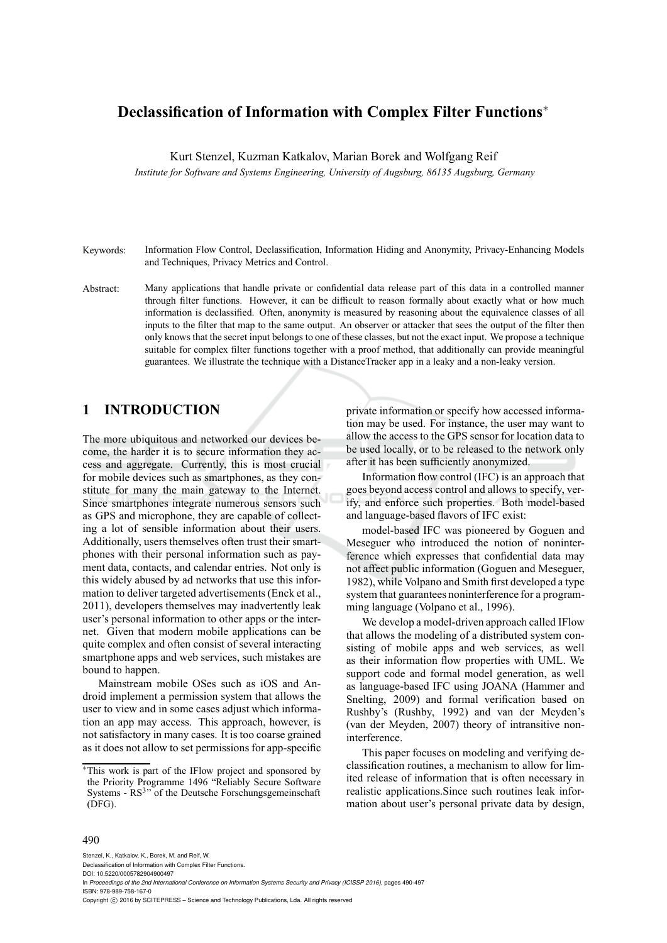# **Declassification of Information with Complex Filter Functions** ∗

Kurt Stenzel, Kuzman Katkalov, Marian Borek and Wolfgang Reif

*Institute for Software and Systems Engineering, University of Augsburg, 86135 Augsburg, Germany*

- Keywords: Information Flow Control, Declassification, Information Hiding and Anonymity, Privacy-Enhancing Models and Techniques, Privacy Metrics and Control.
- Abstract: Many applications that handle private or confidential data release part of this data in a controlled manner through filter functions. However, it can be difficult to reason formally about exactly what or how much information is declassified. Often, anonymity is measured by reasoning about the equivalence classes of all inputs to the filter that map to the same output. An observer or attacker that sees the output of the filter then only knows that the secret input belongs to one of these classes, but not the exact input. We propose a technique suitable for complex filter functions together with a proof method, that additionally can provide meaningful guarantees. We illustrate the technique with a DistanceTracker app in a leaky and a non-leaky version.

### **1 INTRODUCTION**

The more ubiquitous and networked our devices become, the harder it is to secure information they access and aggregate. Currently, this is most crucial for mobile devices such as smartphones, as they constitute for many the main gateway to the Internet. Since smartphones integrate numerous sensors such as GPS and microphone, they are capable of collecting a lot of sensible information about their users. Additionally, users themselves often trust their smartphones with their personal information such as payment data, contacts, and calendar entries. Not only is this widely abused by ad networks that use this information to deliver targeted advertisements(Enck et al., 2011), developers themselves may inadvertently leak user's personal information to other apps or the internet. Given that modern mobile applications can be quite complex and often consist of several interacting smartphone apps and web services, such mistakes are bound to happen.

Mainstream mobile OSes such as iOS and Android implement a permission system that allows the user to view and in some cases adjust which information an app may access. This approach, however, is not satisfactory in many cases. It is too coarse grained as it does not allow to set permissions for app-specific private information or specify how accessed information may be used. For instance, the user may want to allow the access to the GPS sensor for location data to be used locally, or to be released to the network only after it has been sufficiently anonymized.

Information flow control (IFC) is an approach that goes beyond access control and allows to specify, verify, and enforce such properties. Both model-based and language-based flavors of IFC exist:

model-based IFC was pioneered by Goguen and Meseguer who introduced the notion of noninterference which expresses that confidential data may not affect public information (Goguen and Meseguer, 1982), while Volpano and Smith first developed a type system that guarantees noninterference for a programming language (Volpano et al., 1996).

We develop a model-driven approach called IFlow that allows the modeling of a distributed system consisting of mobile apps and web services, as well as their information flow properties with UML. We support code and formal model generation, as well as language-based IFC using JOANA (Hammer and Snelting, 2009) and formal verification based on Rushby's (Rushby, 1992) and van der Meyden's (van der Meyden, 2007) theory of intransitive noninterference.

This paper focuses on modeling and verifying declassification routines, a mechanism to allow for limited release of information that is often necessary in realistic applications.Since such routines leak information about user's personal private data by design,

#### 490

Stenzel, K., Katkalov, K., Borek, M. and Reif, W.

In *Proceedings of the 2nd International Conference on Information Systems Security and Privacy (ICISSP 2016)*, pages 490-497 ISBN: 978-989-758-167-0

<sup>∗</sup>This work is part of the IFlow project and sponsored by the Priority Programme 1496 "Reliably Secure Software Systems - RS<sup>3</sup>" of the Deutsche Forschungsgemeinschaft (DFG).

Declassification of Information with Complex Filter Functions. DOI: 10.5220/0005782904900497

Copyright © 2016 by SCITEPRESS - Science and Technology Publications, Lda. All rights reserved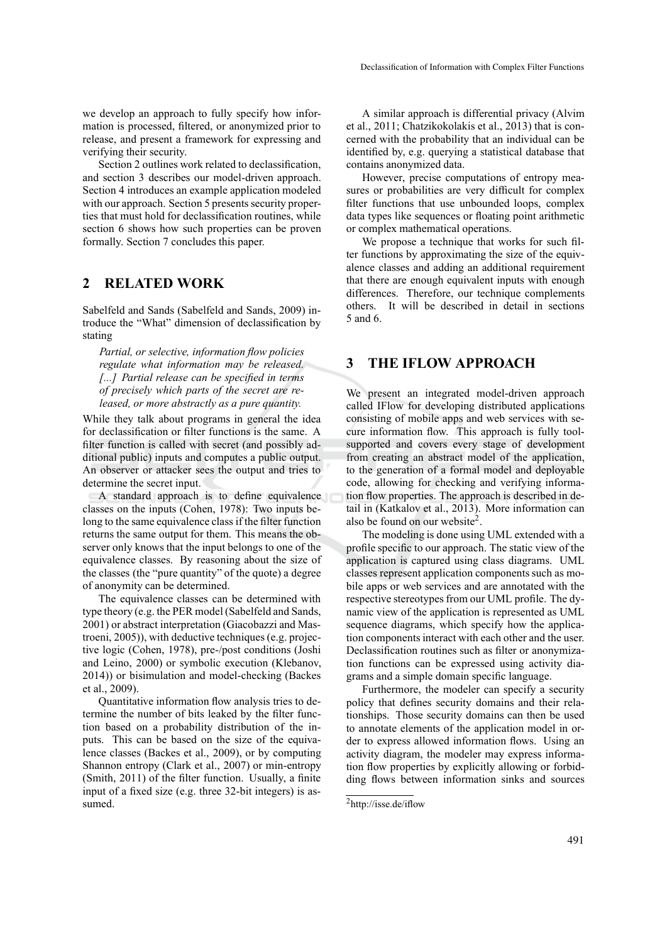Section 2 outlines work related to declassification, and section 3 describes our model-driven approach. Section 4 introduces an example application modeled with our approach. Section 5 presents security properties that must hold for declassification routines, while section 6 shows how such properties can be proven formally. Section 7 concludes this paper.

### **2 RELATED WORK**

Sabelfeld and Sands (Sabelfeld and Sands, 2009) introduce the "What" dimension of declassification by stating

*Partial, or selective, information flow policies regulate what information may be released. [...] Partial release can be specified in terms of precisely which parts of the secret are released, or more abstractly as a pure quantity.*

While they talk about programs in general the idea for declassification or filter functions is the same. A filter function is called with secret (and possibly additional public) inputs and computes a public output. An observer or attacker sees the output and tries to determine the secret input.

A standard approach is to define equivalence classes on the inputs (Cohen, 1978): Two inputs belong to the same equivalence class if the filter function returns the same output for them. This means the observer only knows that the input belongs to one of the equivalence classes. By reasoning about the size of the classes (the "pure quantity" of the quote) a degree of anonymity can be determined.

The equivalence classes can be determined with type theory (e.g. the PER model (Sabelfeld and Sands, 2001) or abstract interpretation (Giacobazzi and Mastroeni, 2005)), with deductive techniques(e.g. projective logic (Cohen, 1978), pre-/post conditions (Joshi and Leino, 2000) or symbolic execution (Klebanov, 2014)) or bisimulation and model-checking (Backes et al., 2009).

Quantitative information flow analysis tries to determine the number of bits leaked by the filter function based on a probability distribution of the inputs. This can be based on the size of the equivalence classes (Backes et al., 2009), or by computing Shannon entropy (Clark et al., 2007) or min-entropy (Smith, 2011) of the filter function. Usually, a finite input of a fixed size (e.g. three 32-bit integers) is assumed.

A similar approach is differential privacy (Alvim et al., 2011; Chatzikokolakis et al., 2013) that is concerned with the probability that an individual can be identified by, e.g. querying a statistical database that contains anonymized data.

However, precise computations of entropy measures or probabilities are very difficult for complex filter functions that use unbounded loops, complex data types like sequences or floating point arithmetic or complex mathematical operations.

We propose a technique that works for such filter functions by approximating the size of the equivalence classes and adding an additional requirement that there are enough equivalent inputs with enough differences. Therefore, our technique complements others. It will be described in detail in sections 5 and 6.

### **3 THE IFLOW APPROACH**

We present an integrated model-driven approach called IFlow for developing distributed applications consisting of mobile apps and web services with secure information flow. This approach is fully toolsupported and covers every stage of development from creating an abstract model of the application, to the generation of a formal model and deployable code, allowing for checking and verifying information flow properties. The approach is described in detail in (Katkalov et al., 2013). More information can also be found on our website 2 .

The modeling is done using UML extended with a profile specific to our approach. The static view of the application is captured using class diagrams. UML classes represent application components such as mobile apps or web services and are annotated with the respective stereotypes from our UML profile. The dynamic view of the application is represented as UML sequence diagrams, which specify how the application components interact with each other and the user. Declassification routines such as filter or anonymization functions can be expressed using activity diagrams and a simple domain specific language.

Furthermore, the modeler can specify a security policy that defines security domains and their relationships. Those security domains can then be used to annotate elements of the application model in order to express allowed information flows. Using an activity diagram, the modeler may express information flow properties by explicitly allowing or forbidding flows between information sinks and sources

<sup>2</sup>http://isse.de/iflow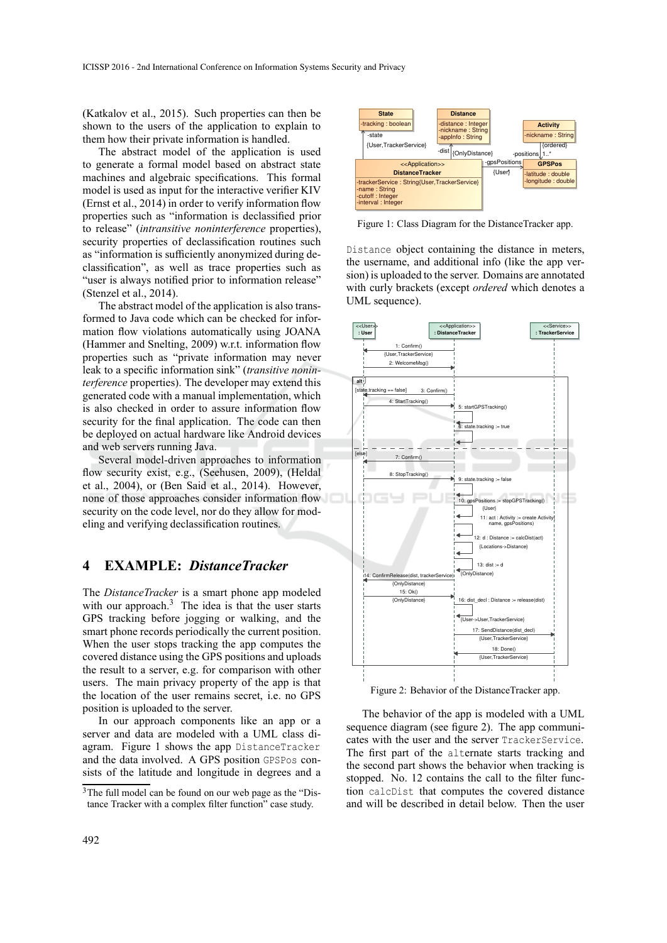(Katkalov et al., 2015). Such properties can then be shown to the users of the application to explain to them how their private information is handled.

The abstract model of the application is used to generate a formal model based on abstract state machines and algebraic specifications. This formal model is used as input for the interactive verifier KIV (Ernst et al., 2014) in order to verify information flow properties such as "information is declassified prior to release" (*intransitive noninterference* properties), security properties of declassification routines such as "information is sufficiently anonymized during declassification", as well as trace properties such as "user is always notified prior to information release" (Stenzel et al., 2014).

The abstract model of the application is also transformed to Java code which can be checked for information flow violations automatically using JOANA (Hammer and Snelting, 2009) w.r.t. information flow properties such as "private information may never leak to a specific information sink" (*transitive noninterference* properties). The developer may extend this generated code with a manual implementation, which is also checked in order to assure information flow security for the final application. The code can then be deployed on actual hardware like Android devices and web servers running Java.

Several model-driven approaches to information flow security exist, e.g., (Seehusen, 2009), (Heldal et al., 2004), or (Ben Said et al., 2014). However, none of those approaches consider information flow security on the code level, nor do they allow for modeling and verifying declassification routines.

#### **4 EXAMPLE:** *DistanceTracker*

The *DistanceTracker* is a smart phone app modeled with our approach.<sup>3</sup> The idea is that the user starts GPS tracking before jogging or walking, and the smart phone records periodically the current position. When the user stops tracking the app computes the covered distance using the GPS positions and uploads the result to a server, e.g. for comparison with other users. The main privacy property of the app is that the location of the user remains secret, i.e. no GPS position is uploaded to the server.

In our approach components like an app or a server and data are modeled with a UML class diagram. Figure 1 shows the app DistanceTracker and the data involved. A GPS position GPSPos consists of the latitude and longitude in degrees and a



Figure 1: Class Diagram for the DistanceTracker app.

Distance object containing the distance in meters, the username, and additional info (like the app version) is uploaded to the server. Domains are annotated with curly brackets (except *ordered* which denotes a UML sequence).



Figure 2: Behavior of the DistanceTracker app.

The behavior of the app is modeled with a UML sequence diagram (see figure 2). The app communicates with the user and the server TrackerService. The first part of the alternate starts tracking and the second part shows the behavior when tracking is stopped. No. 12 contains the call to the filter function calcDist that computes the covered distance and will be described in detail below. Then the user

<sup>3</sup>The full model can be found on our web page as the "Distance Tracker with a complex filter function" case study.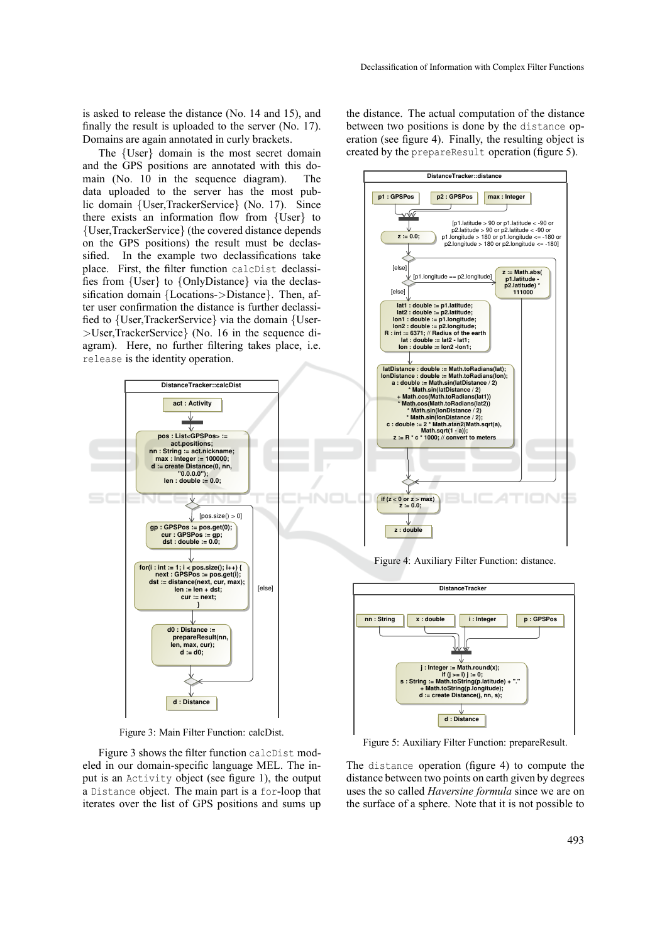is asked to release the distance (No. 14 and 15), and finally the result is uploaded to the server (No. 17). Domains are again annotated in curly brackets.

The {User} domain is the most secret domain and the GPS positions are annotated with this domain (No. 10 in the sequence diagram). The data uploaded to the server has the most public domain {User,TrackerService} (No. 17). Since there exists an information flow from {User} to {User,TrackerService} (the covered distance depends on the GPS positions) the result must be declassified. In the example two declassifications take place. First, the filter function calcDist declassifies from {User} to {OnlyDistance} via the declassification domain {Locations->Distance}. Then, after user confirmation the distance is further declassified to {User,TrackerService} via the domain {User- >User,TrackerService} (No. 16 in the sequence diagram). Here, no further filtering takes place, i.e. release is the identity operation.



Figure 3: Main Filter Function: calcDist.

Figure 3 shows the filter function calcDist modeled in our domain-specific language MEL. The input is an Activity object (see figure 1), the output a Distance object. The main part is a for-loop that iterates over the list of GPS positions and sums up

the distance. The actual computation of the distance between two positions is done by the distance operation (see figure 4). Finally, the resulting object is created by the prepareResult operation (figure 5).



Figure 4: Auxiliary Filter Function: distance.



Figure 5: Auxiliary Filter Function: prepareResult.

The distance operation (figure 4) to compute the distance between two points on earth given by degrees uses the so called *Haversine formula* since we are on the surface of a sphere. Note that it is not possible to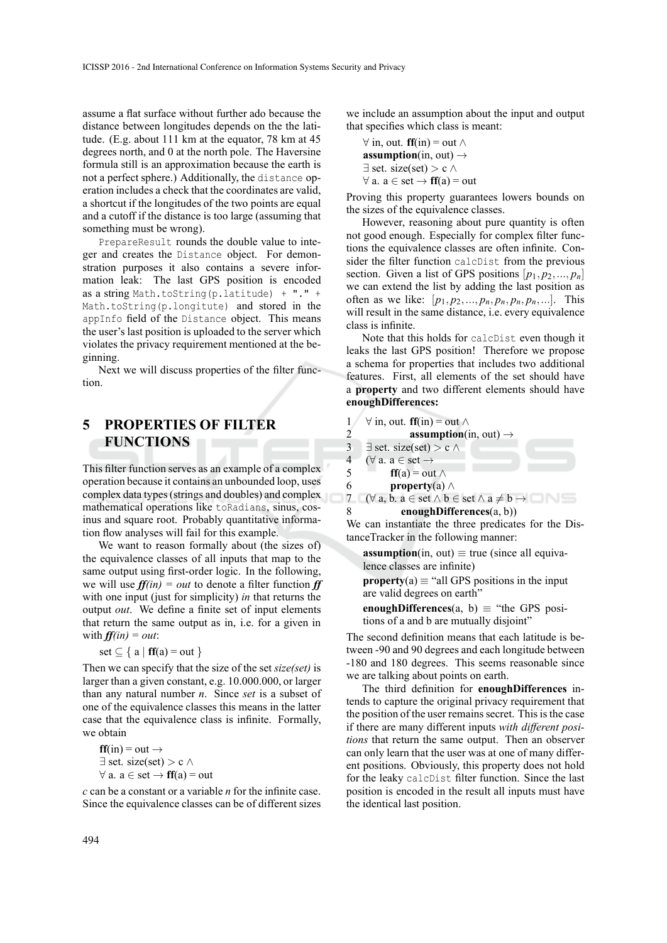assume a flat surface without further ado because the distance between longitudes depends on the the latitude. (E.g. about 111 km at the equator, 78 km at 45 degrees north, and 0 at the north pole. The Haversine formula still is an approximation because the earth is not a perfect sphere.) Additionally, the distance operation includes a check that the coordinates are valid, a shortcut if the longitudes of the two points are equal and a cutoff if the distance is too large (assuming that something must be wrong).

PrepareResult rounds the double value to integer and creates the Distance object. For demonstration purposes it also contains a severe information leak: The last GPS position is encoded as a string Math.toString(p.latitude) + "." + Math.toString(p.longitute) and stored in the appInfo field of the Distance object. This means the user's last position is uploaded to the server which violates the privacy requirement mentioned at the beginning.

Next we will discuss properties of the filter function.

# **5 PROPERTIES OF FILTER FUNCTIONS**

This filter function serves as an example of a complex operation because it contains an unbounded loop, uses complex data types(strings and doubles) and complex mathematical operations like toRadians, sinus, cosinus and square root. Probably quantitative information flow analyses will fail for this example.

We want to reason formally about (the sizes of) the equivalence classes of all inputs that map to the same output using first-order logic. In the following, we will use  $f f(i n) = out$  to denote a filter function  $f f$ with one input (just for simplicity) *in* that returns the output *out*. We define a finite set of input elements that return the same output as in, i.e. for a given in with  $f f(i n) = out$ :

$$
set \subseteq \{ a \mid \mathbf{ff}(a) = out \}
$$

Then we can specify that the size of the set *size(set)* is larger than a given constant, e.g. 10.000.000, or larger than any natural number *n*. Since *set* is a subset of one of the equivalence classes this means in the latter case that the equivalence class is infinite. Formally, we obtain

$$
ff(in) = out \rightarrow
$$
  

$$
\exists set. size(set) > c \land
$$
  

$$
\forall a. a \in set \rightarrow ff(a) = out
$$

*c* can be a constant or a variable *n* for the infinite case. Since the equivalence classes can be of different sizes we include an assumption about the input and output that specifies which class is meant:

$$
\forall \text{ in, out. } \mathbf{ff}(\text{in}) = \text{out } \land
$$
  
**assumption**(in, out)  $\rightarrow$   
 $\exists$  set. size(set) > c  $\land$   
 $\forall$  a. a  $\in$  set  $\rightarrow$   $\mathbf{ff}(a) = \text{out}$ 

Proving this property guarantees lowers bounds on the sizes of the equivalence classes.

However, reasoning about pure quantity is often not good enough. Especially for complex filter functions the equivalence classes are often infinite. Consider the filter function calcDist from the previous section. Given a list of GPS positions  $[p_1, p_2, ..., p_n]$ we can extend the list by adding the last position as often as we like:  $[p_1, p_2, ..., p_n, p_n, p_n, p_n, ...].$  This will result in the same distance, i.e. every equivalence class is infinite.

Note that this holds for calcDist even though it leaks the last GPS position! Therefore we propose a schema for properties that includes two additional features. First, all elements of the set should have a **property** and two different elements should have **enoughDifferences:**

1 
$$
\forall
$$
 in, out. **ff**(in) = out  $\land$ 

2 assumption(in, out) →  
\n3 
$$
\exists
$$
 set. size(set) > c ∧  
\n4  $(\forall a. a \in set \rightarrow$   
\n5 **ff**(a) = out ∧  
\n6 **property**(a) ∧  
\n7  $(\forall a. b. e \in set \land b \in set \land a \neq b \land$ 

 $\exists$  7 ( $\forall$  a, b. a ∈ set  $\land$  b ∈ set  $\land$  a  $\neq$  b  $\rightarrow$ 8 **enoughDifferences**(a, b))

We can instantiate the three predicates for the DistanceTracker in the following manner:

**assumption**(in, out)  $\equiv$  true (since all equivalence classes are infinite)

**property**(a)  $\equiv$  "all GPS positions in the input are valid degrees on earth"

**enoughDifferences**(a, b)  $\equiv$  "the GPS positions of a and b are mutually disjoint"

The second definition means that each latitude is between -90 and 90 degrees and each longitude between -180 and 180 degrees. This seems reasonable since we are talking about points on earth.

The third definition for **enoughDifferences** intends to capture the original privacy requirement that the position of the user remains secret. This is the case if there are many different inputs *with different positions* that return the same output. Then an observer can only learn that the user was at one of many different positions. Obviously, this property does not hold for the leaky calcDist filter function. Since the last position is encoded in the result all inputs must have the identical last position.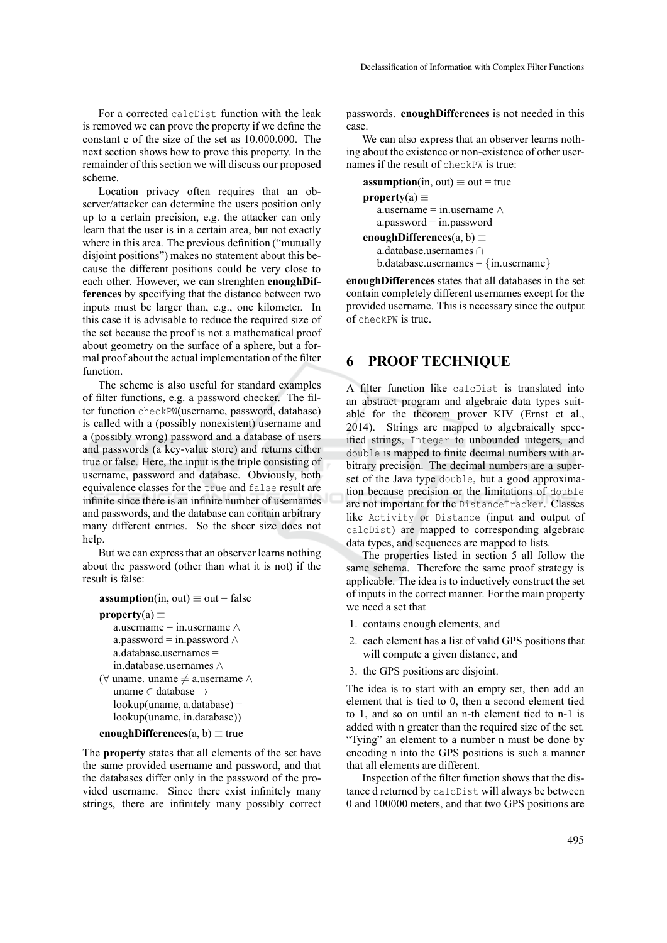For a corrected calcDist function with the leak is removed we can prove the property if we define the constant c of the size of the set as 10.000.000. The next section shows how to prove this property. In the remainder of this section we will discuss our proposed scheme.

Location privacy often requires that an observer/attacker can determine the users position only up to a certain precision, e.g. the attacker can only learn that the user is in a certain area, but not exactly where in this area. The previous definition ("mutually disjoint positions") makes no statement about this because the different positions could be very close to each other. However, we can strenghten **enoughDifferences** by specifying that the distance between two inputs must be larger than, e.g., one kilometer. In this case it is advisable to reduce the required size of the set because the proof is not a mathematical proof about geometry on the surface of a sphere, but a formal proof about the actual implementation of the filter function.

The scheme is also useful for standard examples of filter functions, e.g. a password checker. The filter function checkPW(username, password, database) is called with a (possibly nonexistent) username and a (possibly wrong) password and a database of users and passwords (a key-value store) and returns either true or false. Here, the input is the triple consisting of username, password and database. Obviously, both equivalence classes for the true and false result are infinite since there is an infinite number of usernames and passwords, and the database can contain arbitrary many different entries. So the sheer size does not help.

But we can express that an observer learns nothing about the password (other than what it is not) if the result is false:

```
assumption(in, out) \equiv out = false
```

```
property(a) \equiv
```

```
a.username = in.username \wedgea.password = in.password \wedgea.database.usernames =
   in.database.usernames ∧
(\forall uname. uname \neq a.username ∧
   uname ∈ database →
   lookup(uname, a.database) =
   lookup(uname, in.database))
```

```
enoughDifferences(a, b) \equivtrue
```
The **property** states that all elements of the set have the same provided username and password, and that the databases differ only in the password of the provided username. Since there exist infinitely many strings, there are infinitely many possibly correct passwords. **enoughDifferences** is not needed in this case.

We can also express that an observer learns nothing about the existence or non-existence of other usernames if the result of checkPW is true:

```
assumption(in, out) \equiv out = true
property(a) \equiva.username = in.username \wedgea.password = in.password
enoughDifferences(a, b) ≡
   a.database.usernames ∩
   b.database.usernames = {in.username}
```
**enoughDifferences** states that all databases in the set contain completely different usernames except for the provided username. This is necessary since the output of checkPW is true.

#### **6 PROOF TECHNIQUE**

A filter function like calcDist is translated into an abstract program and algebraic data types suitable for the theorem prover KIV (Ernst et al., 2014). Strings are mapped to algebraically specified strings, Integer to unbounded integers, and double is mapped to finite decimal numbers with arbitrary precision. The decimal numbers are a superset of the Java type double, but a good approximation because precision or the limitations of double are not important for the DistanceTracker. Classes like Activity or Distance (input and output of calcDist) are mapped to corresponding algebraic data types, and sequences are mapped to lists.

The properties listed in section 5 all follow the same schema. Therefore the same proof strategy is applicable. The idea is to inductively construct the set of inputs in the correct manner. For the main property we need a set that

- 1. contains enough elements, and
- 2. each element has a list of valid GPS positions that will compute a given distance, and
- 3. the GPS positions are disjoint.

The idea is to start with an empty set, then add an element that is tied to 0, then a second element tied to 1, and so on until an n-th element tied to n-1 is added with n greater than the required size of the set. "Tying" an element to a number n must be done by encoding n into the GPS positions is such a manner that all elements are different.

Inspection of the filter function shows that the distance d returned by calcDist will always be between 0 and 100000 meters, and that two GPS positions are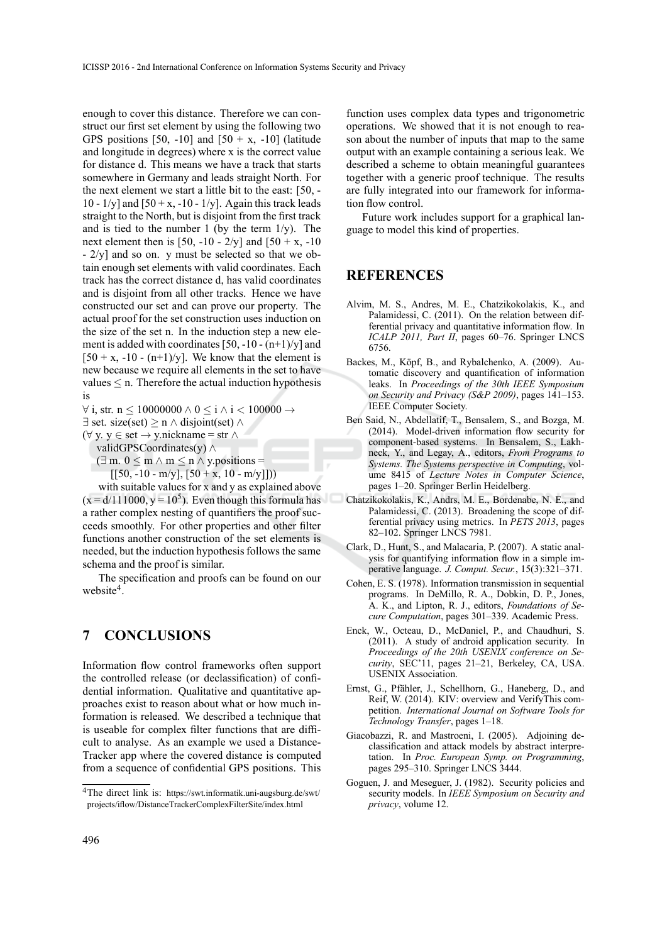enough to cover this distance. Therefore we can construct our first set element by using the following two GPS positions [50, -10] and  $[50 + x, -10]$  (latitude and longitude in degrees) where x is the correct value for distance d. This means we have a track that starts somewhere in Germany and leads straight North. For the next element we start a little bit to the east: [50, - 10 -  $1/y$ ] and  $[50 + x, -10 - 1/y]$ . Again this track leads straight to the North, but is disjoint from the first track and is tied to the number 1 (by the term  $1/y$ ). The next element then is [50, -10 -  $2/v$ ] and [50 + x, -10 - 2/y] and so on. y must be selected so that we obtain enough set elements with valid coordinates. Each track has the correct distance d, has valid coordinates and is disjoint from all other tracks. Hence we have constructed our set and can prove our property. The actual proof for the set construction uses induction on the size of the set n. In the induction step a new element is added with coordinates  $[50, -10 - (n+1)/y]$  and  $[50 + x, -10 - (n+1)/y]$ . We know that the element is new because we require all elements in the set to have values  $\leq$  n. Therefore the actual induction hypothesis is

 $\forall$  i, str. n ≤ 10000000  $\land$  0 ≤ i  $\land$  i < 100000  $\rightarrow$ 

 $\exists$  set. size(set)  $\geq$  n  $\land$  disjoint(set)  $\land$ 

(∀ y. y ∈ set → y.nickname = str ∧

validGPSCoordinates(y) ∧

 $(\exists m. 0 \le m \land m \le n \land y.$ positions =  $[50, -10 - m/y], [50 + x, 10 - m/y]])$ 

with suitable values for x and y as explained above  $(x = d/111000, y = 10<sup>5</sup>)$ . Even though this formula has a rather complex nesting of quantifiers the proof succeeds smoothly. For other properties and other filter functions another construction of the set elements is needed, but the induction hypothesis follows the same schema and the proof is similar.

The specification and proofs can be found on our website<sup>4</sup>.

## **7 CONCLUSIONS**

Information flow control frameworks often support the controlled release (or declassification) of confidential information. Qualitative and quantitative approaches exist to reason about what or how much information is released. We described a technique that is useable for complex filter functions that are difficult to analyse. As an example we used a Distance-Tracker app where the covered distance is computed from a sequence of confidential GPS positions. This

function uses complex data types and trigonometric operations. We showed that it is not enough to reason about the number of inputs that map to the same output with an example containing a serious leak. We described a scheme to obtain meaningful guarantees together with a generic proof technique. The results are fully integrated into our framework for information flow control.

Future work includes support for a graphical language to model this kind of properties.

#### **REFERENCES**

- Alvim, M. S., Andres, M. E., Chatzikokolakis, K., and Palamidessi, C. (2011). On the relation between differential privacy and quantitative information flow. In *ICALP 2011, Part II*, pages 60–76. Springer LNCS 6756.
- Backes, M., Köpf, B., and Rybalchenko, A. (2009). Automatic discovery and quantification of information leaks. In *Proceedings of the 30th IEEE Symposium on Security and Privacy (S&P 2009)*, pages 141–153. IEEE Computer Society.
- Ben Said, N., Abdellatif, T., Bensalem, S., and Bozga, M. (2014). Model-driven information flow security for component-based systems. In Bensalem, S., Lakhneck, Y., and Legay, A., editors, *From Programs to Systems. The Systems perspective in Computing*, volume 8415 of *Lecture Notes in Computer Science*, pages 1–20. Springer Berlin Heidelberg.
- Chatzikokolakis, K., Andrs, M. E., Bordenabe, N. E., and Palamidessi, C. (2013). Broadening the scope of differential privacy using metrics. In *PETS 2013*, pages 82–102. Springer LNCS 7981.
- Clark, D., Hunt, S., and Malacaria, P. (2007). A static analysis for quantifying information flow in a simple imperative language. *J. Comput. Secur.*, 15(3):321–371.
- Cohen, E. S. (1978). Information transmission in sequential programs. In DeMillo, R. A., Dobkin, D. P., Jones, A. K., and Lipton, R. J., editors, *Foundations of Secure Computation*, pages 301–339. Academic Press.
- Enck, W., Octeau, D., McDaniel, P., and Chaudhuri, S. (2011). A study of android application security. In *Proceedings of the 20th USENIX conference on Security*, SEC'11, pages 21–21, Berkeley, CA, USA. USENIX Association.
- Ernst, G., Pfähler, J., Schellhorn, G., Haneberg, D., and Reif, W. (2014). KIV: overview and VerifyThis competition. *International Journal on Software Tools for Technology Transfer*, pages 1–18.
- Giacobazzi, R. and Mastroeni, I. (2005). Adjoining declassification and attack models by abstract interpretation. In *Proc. European Symp. on Programming*, pages 295–310. Springer LNCS 3444.
- Goguen, J. and Meseguer, J. (1982). Security policies and security models. In *IEEE Symposium on Security and privacy*, volume 12.

<sup>4</sup>The direct link is: https://swt.informatik.uni-augsburg.de/swt/ projects/iflow/DistanceTrackerComplexFilterSite/index.html